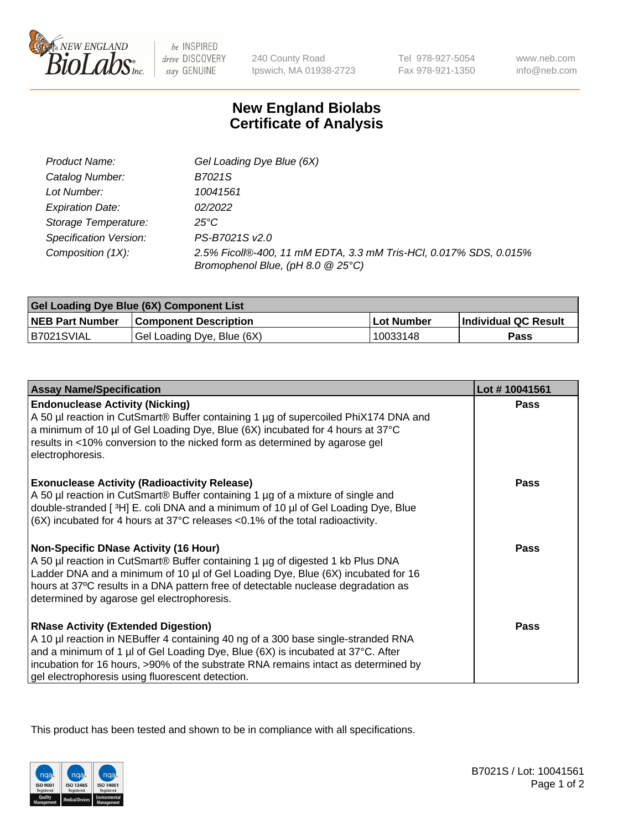

 $be$  INSPIRED drive DISCOVERY stay GENUINE

240 County Road Ipswich, MA 01938-2723 Tel 978-927-5054 Fax 978-921-1350 www.neb.com info@neb.com

## **New England Biolabs Certificate of Analysis**

| Product Name:           | Gel Loading Dye Blue (6X)                                                                              |
|-------------------------|--------------------------------------------------------------------------------------------------------|
| Catalog Number:         | B7021S                                                                                                 |
| Lot Number:             | 10041561                                                                                               |
| <b>Expiration Date:</b> | 02/2022                                                                                                |
| Storage Temperature:    | 25°C                                                                                                   |
| Specification Version:  | PS-B7021S v2.0                                                                                         |
| Composition (1X):       | 2.5% Ficoll®-400, 11 mM EDTA, 3.3 mM Tris-HCl, 0.017% SDS, 0.015%<br>Bromophenol Blue, (pH 8.0 @ 25°C) |

| <b>Gel Loading Dye Blue (6X) Component List</b> |                              |                   |                      |  |
|-------------------------------------------------|------------------------------|-------------------|----------------------|--|
| <b>NEB Part Number</b>                          | <b>Component Description</b> | <b>Lot Number</b> | Individual QC Result |  |
| B7021SVIAL                                      | Gel Loading Dye, Blue (6X)   | 10033148          | Pass                 |  |

| <b>Assay Name/Specification</b>                                                                                                                                                                                                                                                                                                                              | Lot #10041561 |
|--------------------------------------------------------------------------------------------------------------------------------------------------------------------------------------------------------------------------------------------------------------------------------------------------------------------------------------------------------------|---------------|
| <b>Endonuclease Activity (Nicking)</b><br>A 50 µl reaction in CutSmart® Buffer containing 1 µg of supercoiled PhiX174 DNA and<br>a minimum of 10 µl of Gel Loading Dye, Blue (6X) incubated for 4 hours at 37°C<br>results in <10% conversion to the nicked form as determined by agarose gel<br>electrophoresis.                                            | <b>Pass</b>   |
| <b>Exonuclease Activity (Radioactivity Release)</b><br>A 50 µl reaction in CutSmart® Buffer containing 1 µg of a mixture of single and<br>double-stranded [3H] E. coli DNA and a minimum of 10 µl of Gel Loading Dye, Blue<br>$(6X)$ incubated for 4 hours at 37 $^{\circ}$ C releases <0.1% of the total radioactivity.                                     | <b>Pass</b>   |
| <b>Non-Specific DNase Activity (16 Hour)</b><br>A 50 µl reaction in CutSmart® Buffer containing 1 µg of digested 1 kb Plus DNA<br>Ladder DNA and a minimum of 10 µl of Gel Loading Dye, Blue (6X) incubated for 16<br>hours at 37°C results in a DNA pattern free of detectable nuclease degradation as<br>determined by agarose gel electrophoresis.        | <b>Pass</b>   |
| <b>RNase Activity (Extended Digestion)</b><br>A 10 µl reaction in NEBuffer 4 containing 40 ng of a 300 base single-stranded RNA<br>and a minimum of 1 µl of Gel Loading Dye, Blue (6X) is incubated at 37°C. After<br>incubation for 16 hours, >90% of the substrate RNA remains intact as determined by<br>gel electrophoresis using fluorescent detection. | <b>Pass</b>   |

This product has been tested and shown to be in compliance with all specifications.